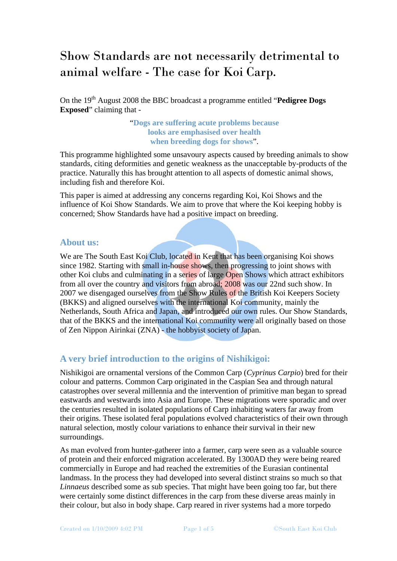# Show Standards are not necessarily detrimental to animal welfare - The case for Koi Carp.

On the 19th August 2008 the BBC broadcast a programme entitled "**Pedigree Dogs Exposed**" claiming that -

#### "**Dogs are suffering acute problems because looks are emphasised over health when breeding dogs for shows**".

This programme highlighted some unsavoury aspects caused by breeding animals to show standards, citing deformities and genetic weakness as the unacceptable by-products of the practice. Naturally this has brought attention to all aspects of domestic animal shows, including fish and therefore Koi.

This paper is aimed at addressing any concerns regarding Koi, Koi Shows and the influence of Koi Show Standards. We aim to prove that where the Koi keeping hobby is concerned; Show Standards have had a positive impact on breeding.

#### **About us:**

We are The South East Koi Club, located in Kent that has been organising Koi shows since 1982. Starting with small in-house shows, then progressing to joint shows with other Koi clubs and culminating in a series of large Open Shows which attract exhibitors from all over the country and visitors from abroad; 2008 was our 22nd such show. In 2007 we disengaged ourselves from the Show Rules of the British Koi Keepers Society (BKKS) and aligned ourselves with the international Koi community, mainly the Netherlands, South Africa and Japan, and introduced our own rules. Our Show Standards, that of the BKKS and the international Koi community were all originally based on those of Zen Nippon Airinkai (ZNA) - the hobbyist society of Japan.

# **A very brief introduction to the origins of Nishikigoi:**

Nishikigoi are ornamental versions of the Common Carp (*Cyprinus Carpio*) bred for their colour and patterns. Common Carp originated in the Caspian Sea and through natural catastrophes over several millennia and the intervention of primitive man began to spread eastwards and westwards into Asia and Europe. These migrations were sporadic and over the centuries resulted in isolated populations of Carp inhabiting waters far away from their origins. These isolated feral populations evolved characteristics of their own through natural selection, mostly colour variations to enhance their survival in their new surroundings.

As man evolved from hunter-gatherer into a farmer, carp were seen as a valuable source of protein and their enforced migration accelerated. By 1300AD they were being reared commercially in Europe and had reached the extremities of the Eurasian continental landmass. In the process they had developed into several distinct strains so much so that *Linnaeus* described some as sub species. That might have been going too far, but there were certainly some distinct differences in the carp from these diverse areas mainly in their colour, but also in body shape. Carp reared in river systems had a more torpedo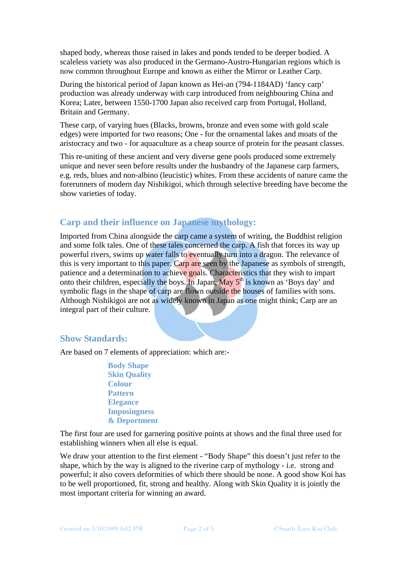shaped body, whereas those raised in lakes and ponds tended to be deeper bodied. A scaleless variety was also produced in the Germano-Austro-Hungarian regions which is now common throughout Europe and known as either the Mirror or Leather Carp.

During the historical period of Japan known as Hei-an (794-1184AD) 'fancy carp' production was already underway with carp introduced from neighbouring China and Korea; Later, between 1550-1700 Japan also received carp from Portugal, Holland, Britain and Germany.

These carp, of varying hues (Blacks, browns, bronze and even some with gold scale edges) were imported for two reasons; One - for the ornamental lakes and moats of the aristocracy and two - for aquaculture as a cheap source of protein for the peasant classes.

This re-uniting of these ancient and very diverse gene pools produced some extremely unique and never seen before results under the husbandry of the Japanese carp farmers, e.g. reds, blues and non-albino (leucistic) whites. From these accidents of nature came the forerunners of modern day Nishikigoi, which through selective breeding have become the show varieties of today.

### **Carp and their influence on Japanese mythology:**

Imported from China alongside the carp came a system of writing, the Buddhist religion and some folk tales. One of these tales concerned the carp. A fish that forces its way up powerful rivers, swims up water falls to eventually turn into a dragon. The relevance of this is very important to this paper. Carp are seen by the Japanese as symbols of strength, patience and a determination to achieve goals. Characteristics that they wish to impart onto their children, especially the boys. In Japan, May  $5<sup>th</sup>$  is known as 'Boys day' and symbolic flags in the shape of carp are flown outside the houses of families with sons. Although Nishikigoi are not as widely known in Japan as one might think; Carp are an integral part of their culture.

#### **Show Standards:**

Are based on 7 elements of appreciation: which are:-

 **Body Shape Skin Quality Colour Pattern Elegance Imposingness & Deportment** 

The first four are used for garnering positive points at shows and the final three used for establishing winners when all else is equal.

We draw your attention to the first element - "Body Shape" this doesn't just refer to the shape, which by the way is aligned to the riverine carp of mythology - i.e. strong and powerful; it also covers deformities of which there should be none. A good show Koi has to be well proportioned, fit, strong and healthy. Along with Skin Quality it is jointly the most important criteria for winning an award.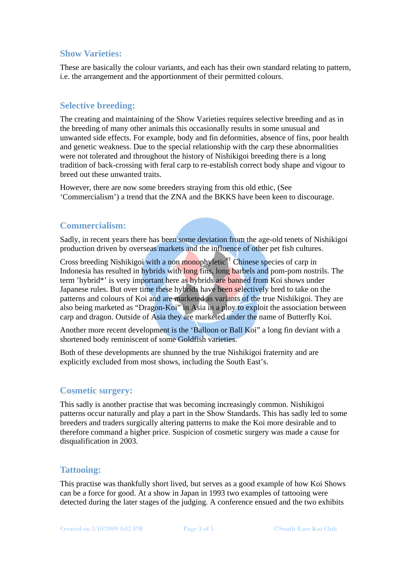# **Show Varieties:**

These are basically the colour variants, and each has their own standard relating to pattern, i.e. the arrangement and the apportionment of their permitted colours.

# **Selective breeding:**

The creating and maintaining of the Show Varieties requires selective breeding and as in the breeding of many other animals this occasionally results in some unusual and unwanted side effects. For example, body and fin deformities, absence of fins, poor health and genetic weakness. Due to the special relationship with the carp these abnormalities were not tolerated and throughout the history of Nishikigoi breeding there is a long tradition of back-crossing with feral carp to re-establish correct body shape and vigour to breed out these unwanted traits.

However, there are now some breeders straying from this old ethic, (See 'Commercialism') a trend that the ZNA and the BKKS have been keen to discourage.

#### **Commercialism:**

Sadly, in recent years there has been some deviation from the age-old tenets of Nishikigoi production driven by overseas markets and the influence of other pet fish cultures.

Cross breeding Nishikigoi with a non monophyletic<sup>#1</sup> Chinese species of carp in Indonesia has resulted in hybrids with long fins, long barbels and pom-pom nostrils. The term 'hybrid\*' is very important here as hybrids are banned from Koi shows under Japanese rules. But over time these hybrids have been selectively bred to take on the patterns and colours of Koi and are marketed as variants of the true Nishikigoi. They are also being marketed as "Dragon-Koi" in Asia in a ploy to exploit the association between carp and dragon. Outside of Asia they are marketed under the name of Butterfly Koi.

Another more recent development is the 'Balloon or Ball Koi" a long fin deviant with a shortened body reminiscent of some Goldfish varieties.

Both of these developments are shunned by the true Nishikigoi fraternity and are explicitly excluded from most shows, including the South East's.

#### **Cosmetic surgery:**

This sadly is another practise that was becoming increasingly common. Nishikigoi patterns occur naturally and play a part in the Show Standards. This has sadly led to some breeders and traders surgically altering patterns to make the Koi more desirable and to therefore command a higher price. Suspicion of cosmetic surgery was made a cause for disqualification in 2003.

#### **Tattooing:**

This practise was thankfully short lived, but serves as a good example of how Koi Shows can be a force for good. At a show in Japan in 1993 two examples of tattooing were detected during the later stages of the judging. A conference ensued and the two exhibits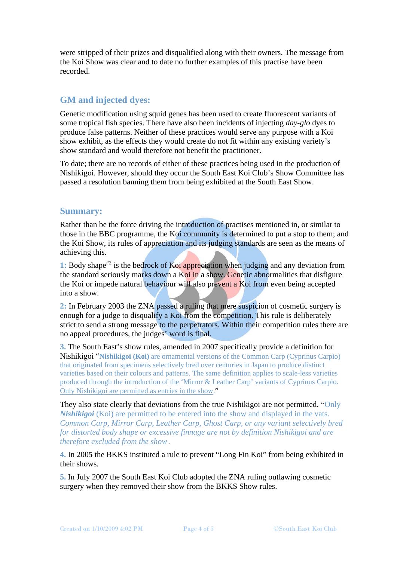were stripped of their prizes and disqualified along with their owners. The message from the Koi Show was clear and to date no further examples of this practise have been recorded.

# **GM and injected dyes:**

Genetic modification using squid genes has been used to create fluorescent variants of some tropical fish species. There have also been incidents of injecting *day-glo* dyes to produce false patterns. Neither of these practices would serve any purpose with a Koi show exhibit, as the effects they would create do not fit within any existing variety's show standard and would therefore not benefit the practitioner.

To date; there are no records of either of these practices being used in the production of Nishikigoi. However, should they occur the South East Koi Club's Show Committee has passed a resolution banning them from being exhibited at the South East Show.

#### **Summary:**

Rather than be the force driving the introduction of practises mentioned in, or similar to those in the BBC programme, the Koi community is determined to put a stop to them; and the Koi Show, its rules of appreciation and its judging standards are seen as the means of achieving this.

1: Body shape<sup>#2</sup> is the bedrock of Koi appreciation when judging and any deviation from the standard seriously marks down a Koi in a show. Genetic abnormalities that disfigure the Koi or impede natural behaviour will also prevent a Koi from even being accepted into a show.

**2:** In February 2003 the ZNA passed a ruling that mere suspicion of cosmetic surgery is enough for a judge to disqualify a Koi from the competition. This rule is deliberately strict to send a strong message to the perpetrators. Within their competition rules there are no appeal procedures, the judges' word is final.

**3.** The South East's show rules, amended in 2007 specifically provide a definition for Nishikigoi "**Nishikigoi (Koi)** are ornamental versions of the Common Carp (Cyprinus Carpio) that originated from specimens selectively bred over centuries in Japan to produce distinct varieties based on their colours and patterns. The same definition applies to scale-less varieties produced through the introduction of the 'Mirror & Leather Carp' variants of Cyprinus Carpio. Only Nishikigoi are permitted as entries in the show."

They also state clearly that deviations from the true Nishikigoi are not permitted. "Only *Nishikigoi* (Koi) are permitted to be entered into the show and displayed in the vats. *Common Carp, Mirror Carp, Leather Carp, Ghost Carp, or any variant selectively bred for distorted body shape or excessive finnage are not by definition Nishikigoi and are therefore excluded from the show .*

**4.** In 200**5** the BKKS instituted a rule to prevent "Long Fin Koi" from being exhibited in their shows.

**5.** In July 2007 the South East Koi Club adopted the ZNA ruling outlawing cosmetic surgery when they removed their show from the BKKS Show rules.